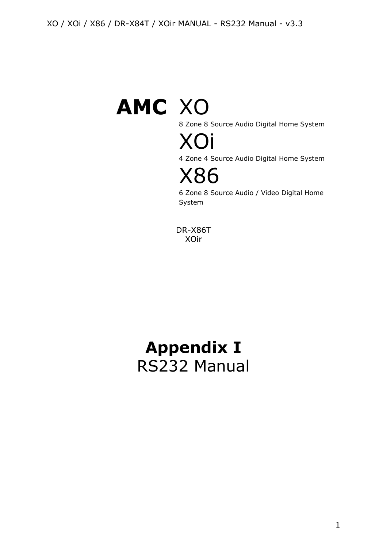# **AMC** XO

8 Zone 8 Source Audio Digital Home System



4 Zone 4 Source Audio Digital Home System



6 Zone 8 Source Audio / Video Digital Home System

DR-X86T XOir

# **Appendix I** RS232 Manual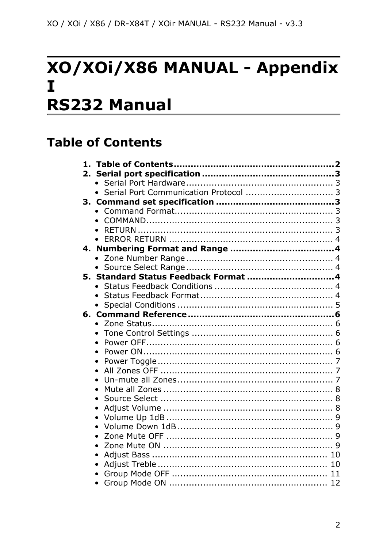# XO/XOI/X86 MANUAL - Appendix  $\mathbf I$ **RS232 Manual**

# <span id="page-1-0"></span>**Table of Contents**

| 1. |                                         |    |
|----|-----------------------------------------|----|
| 2. |                                         |    |
|    |                                         |    |
|    | • Serial Port Communication Protocol  3 |    |
|    |                                         |    |
|    |                                         |    |
|    |                                         |    |
|    |                                         |    |
|    |                                         |    |
|    |                                         |    |
|    |                                         |    |
|    |                                         |    |
|    |                                         |    |
|    |                                         |    |
|    |                                         |    |
|    |                                         |    |
|    |                                         |    |
|    | $\bullet$                               |    |
|    | $\bullet$                               |    |
|    | $\bullet$                               |    |
|    |                                         |    |
|    | $\bullet$                               |    |
|    |                                         |    |
|    | $\bullet$                               |    |
|    |                                         |    |
|    |                                         |    |
|    | $\bullet$                               |    |
|    | $\bullet$                               |    |
|    |                                         |    |
|    | $\bullet$                               |    |
|    |                                         |    |
|    | $\bullet$                               |    |
|    |                                         | 10 |
|    |                                         | 11 |
|    | $\bullet$                               |    |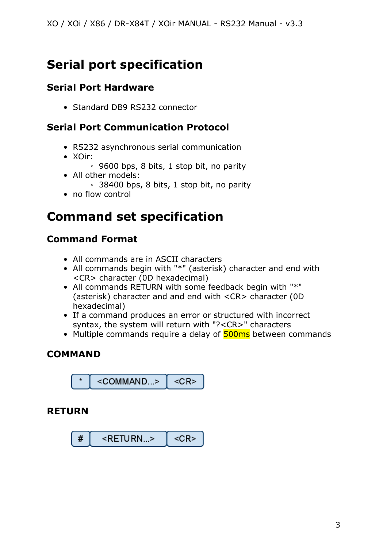# <span id="page-2-0"></span>**Serial port specification**

#### <span id="page-2-1"></span>**Serial Port Hardware**

• Standard DB9 RS232 connector

#### <span id="page-2-2"></span>**Serial Port Communication Protocol**

- RS232 asynchronous serial communication
- XOir:
	- 9600 bps, 8 bits, 1 stop bit, no parity
- All other models:
	- 38400 bps, 8 bits, 1 stop bit, no parity
- no flow control

# <span id="page-2-3"></span>**Command set specification**

#### <span id="page-2-4"></span>**Command Format**

- All commands are in ASCII characters
- All commands begin with "\*" (asterisk) character and end with <CR> character (0D hexadecimal)
- All commands RETURN with some feedback begin with "\*" (asterisk) character and and end with <CR> character (0D hexadecimal)
- If a command produces an error or structured with incorrect syntax, the system will return with "?<CR>" characters
- Multiple commands require a delay of **500ms** between commands

#### <span id="page-2-5"></span>**COMMAND**



#### <span id="page-2-6"></span>**RETURN**

$$
\begin{array}{|c|c|c|c|}\n\hline\n\text{#} & <{\sf RETURN...>} < < < < < \\
\hline\n\end{array}
$$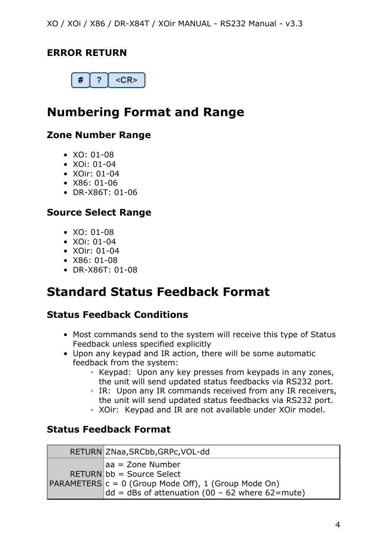#### <span id="page-3-0"></span>**ERROR RETURN**



# <span id="page-3-1"></span>**Numbering Format and Range**

#### <span id="page-3-2"></span>**Zone Number Range**

- $XO: 01-08$
- XOi: 01-04
- XOir: 01-04
- X86: 01-06
- DR-X86T: 01-06

#### <span id="page-3-3"></span>**Source Select Range**

- $XO: 01-08$
- XOi: 01-04
- XOir: 01-04
- X86: 01-08
- DR-X86T: 01-08

## <span id="page-3-4"></span>**Standard Status Feedback Format**

#### <span id="page-3-5"></span>**Status Feedback Conditions**

- Most commands send to the system will receive this type of Status Feedback unless specified explicitly
- Upon any keypad and IR action, there will be some automatic feedback from the system:
	- Keypad: Upon any key presses from keypads in any zones, the unit will send updated status feedbacks via RS232 port.
	- IR: Upon any IR commands received from any IR receivers, the unit will send updated status feedbacks via RS232 port.
	- XOir: Keypad and IR are not available under XOir model.

#### <span id="page-3-6"></span>**Status Feedback Format**

| RETURN ZNaa, SRCbb, GRPc, VOL-dd                                                                                                                                                    |
|-------------------------------------------------------------------------------------------------------------------------------------------------------------------------------------|
| aa = Zone Number<br>$RETURN$ bb = Source Select<br>$\textsf{PARAMETERS}\vert c = 0 \text{ (Group Mode Off)}$ , 1 (Group Mode On)<br>dd = dBs of attenuation (00 - 62 where 62=mute) |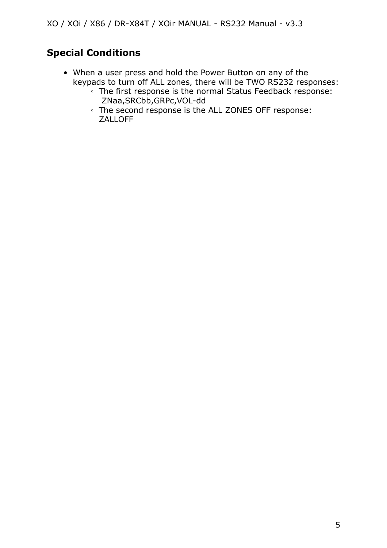#### <span id="page-4-0"></span>**Special Conditions**

- When a user press and hold the Power Button on any of the keypads to turn off ALL zones, there will be TWO RS232 responses:
	- The first response is the normal Status Feedback response: ZNaa,SRCbb,GRPc,VOL-dd
	- The second response is the ALL ZONES OFF response: ZALLOFF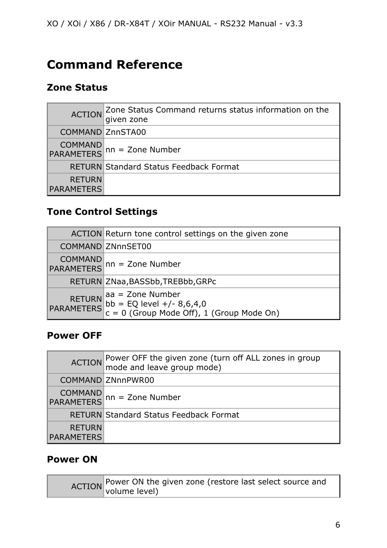# <span id="page-5-0"></span>**Command Reference**

#### <span id="page-5-1"></span>**Zone Status**

| <b>ACTION</b>                      | $ $ Zone Status Command returns status information on the<br>given zone |
|------------------------------------|-------------------------------------------------------------------------|
| COMMAND ZnnSTA00                   |                                                                         |
|                                    | COMMAND<br>PARAMETERS nn = Zone Number                                  |
|                                    | <b>RETURN Standard Status Feedback Format</b>                           |
| <b>RETURN</b><br><b>PARAMETERS</b> |                                                                         |

#### <span id="page-5-2"></span>**Tone Control Settings**

| ACTION Return tone control settings on the given zone                                                        |
|--------------------------------------------------------------------------------------------------------------|
| <b>COMMAND ZNnnSET00</b>                                                                                     |
| COMMAND<br>PARAMETERS nn = Zone Number                                                                       |
| RETURN ZNaa, BASSbb, TREBbb, GRPc                                                                            |
| RETURN aa = Zone Number<br>PARAMETERS bb = EQ level +/- 8,6,4,0<br>C = 0 (Group Mode Off), 1 (Group Mode On) |

#### <span id="page-5-3"></span>**Power OFF**

| <b>ACTION</b>                      | Power OFF the given zone (turn off ALL zones in group<br> mode and leave group mode) |
|------------------------------------|--------------------------------------------------------------------------------------|
|                                    | COMMAND ZNnnPWR00                                                                    |
|                                    | COMMAND<br>PARAMETERS nn = Zone Number                                               |
|                                    | <b>RETURN Standard Status Feedback Format</b>                                        |
| <b>RETURN</b><br><b>PARAMETERS</b> |                                                                                      |

#### <span id="page-5-4"></span>**Power ON**

ACTION Power ON the given zone (restore last select source and volume level)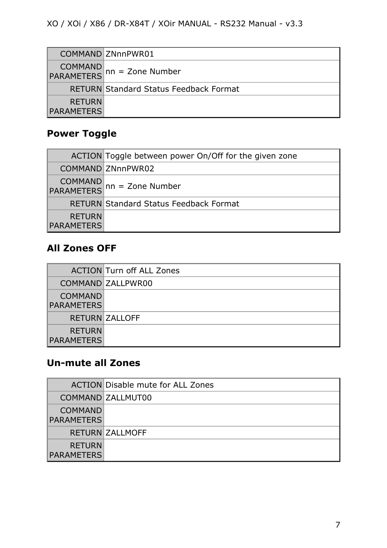|                                    | COMMAND ZNnnPWR01                             |
|------------------------------------|-----------------------------------------------|
|                                    | COMMAND<br>PARAMETERS nn = Zone Number        |
|                                    | <b>RETURN Standard Status Feedback Format</b> |
| <b>RETURN</b><br><b>PARAMETERS</b> |                                               |

### <span id="page-6-0"></span>**Power Toggle**

|                                    | ACTION Toggle between power On/Off for the given zone |
|------------------------------------|-------------------------------------------------------|
|                                    | COMMAND ZNnnPWR02                                     |
|                                    | COMMAND<br>PARAMETERS nn = Zone Number                |
|                                    | <b>RETURN Standard Status Feedback Format</b>         |
| <b>RETURN</b><br><b>PARAMETERS</b> |                                                       |

#### <span id="page-6-1"></span>**All Zones OFF**

|                                     | <b>ACTION</b> Turn off ALL Zones |
|-------------------------------------|----------------------------------|
|                                     | COMMAND ZALLPWR00                |
| <b>COMMAND</b><br><b>PARAMETERS</b> |                                  |
|                                     | <b>RETURN ZALLOFF</b>            |
| <b>RETURN</b><br><b>PARAMETERS</b>  |                                  |

#### <span id="page-6-2"></span>**Un-mute all Zones**

|                                     | <b>ACTION Disable mute for ALL Zones</b> |
|-------------------------------------|------------------------------------------|
|                                     | COMMAND ZALLMUT00                        |
| <b>COMMAND</b><br><b>PARAMETERS</b> |                                          |
|                                     | <b>RETURN ZALLMOFF</b>                   |
| <b>RETURN</b><br><b>PARAMETERS</b>  |                                          |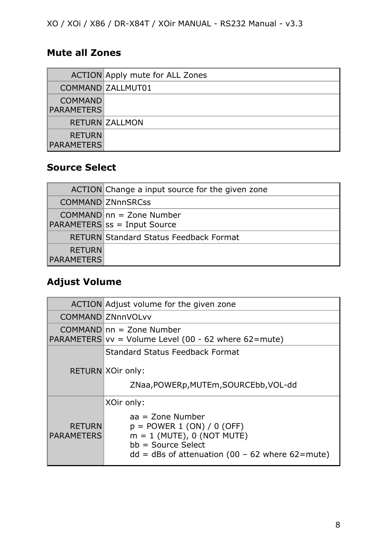#### <span id="page-7-0"></span>**Mute all Zones**

|                                     | ACTION Apply mute for ALL Zones |
|-------------------------------------|---------------------------------|
|                                     | COMMAND ZALLMUT01               |
| <b>COMMAND</b><br><b>PARAMETERS</b> |                                 |
|                                     | <b>RETURN ZALLMON</b>           |
| <b>RETURN</b><br><b>PARAMETERS</b>  |                                 |

#### <span id="page-7-1"></span>**Source Select**

|                                    | ACTION Change a input source for the given zone            |
|------------------------------------|------------------------------------------------------------|
|                                    | <b>COMMAND ZNnnSRCss</b>                                   |
|                                    | $COMMAND nn = Zone Number$<br>PARAMETERS ss = Input Source |
|                                    | <b>RETURN Standard Status Feedback Format</b>              |
| <b>RETURN</b><br><b>PARAMETERS</b> |                                                            |

#### <span id="page-7-2"></span>**Adjust Volume**

|                                    | ACTION Adjust volume for the given zone                                                                                                                                       |
|------------------------------------|-------------------------------------------------------------------------------------------------------------------------------------------------------------------------------|
|                                    | COMMAND ZNnnVOLvv                                                                                                                                                             |
|                                    | $COMMAND nn = Zone Number$<br>PARAMETERS $vv = Volume$ Level (00 - 62 where 62=mute)                                                                                          |
|                                    | <b>Standard Status Feedback Format</b><br>RETURN XOir only:<br>ZNaa, POWERp, MUTEm, SOURCEbb, VOL-dd                                                                          |
| <b>RETURN</b><br><b>PARAMETERS</b> | XOir only:<br>$aa = Zone Number$<br>$p =$ POWER 1 (ON) / 0 (OFF)<br>$m = 1$ (MUTE), 0 (NOT MUTE)<br>$bb = Source Select$<br>$dd = dBs$ of attenuation (00 - 62 where 62=mute) |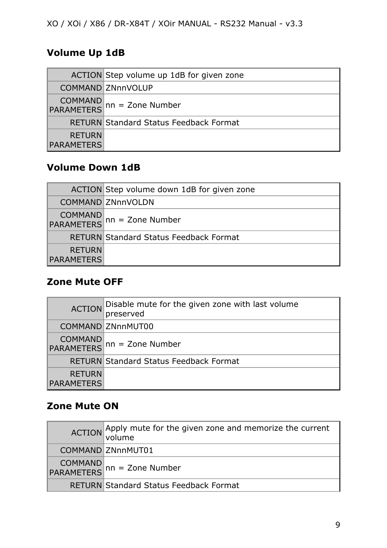#### <span id="page-8-0"></span>**Volume Up 1dB**

|                                    | ACTION Step volume up 1dB for given zone      |
|------------------------------------|-----------------------------------------------|
|                                    | COMMAND ZNnnVOLUP                             |
|                                    | COMMAND<br>PARAMETERS nn = Zone Number        |
|                                    | <b>RETURN Standard Status Feedback Format</b> |
| <b>RETURN</b><br><b>PARAMETERS</b> |                                               |

#### <span id="page-8-1"></span>**Volume Down 1dB**

|                                    | ACTION Step volume down 1dB for given zone    |
|------------------------------------|-----------------------------------------------|
|                                    | <b>COMMAND ZNnnVOLDN</b>                      |
|                                    | COMMAND<br>PARAMETERS nn = Zone Number        |
|                                    | <b>RETURN Standard Status Feedback Format</b> |
| <b>RETURN</b><br><b>PARAMETERS</b> |                                               |

#### <span id="page-8-2"></span>**Zone Mute OFF**

|                                    | ACTION Disable mute for the given zone with last volume |
|------------------------------------|---------------------------------------------------------|
|                                    | COMMAND ZNnnMUT00                                       |
|                                    | COMMAND<br>PARAMETERS nn = Zone Number                  |
|                                    | <b>RETURN Standard Status Feedback Format</b>           |
| <b>RETURN</b><br><b>PARAMETERS</b> |                                                         |

#### <span id="page-8-3"></span>**Zone Mute ON**

| ACTION Apply mute for the given zone and memorize the current |
|---------------------------------------------------------------|
| COMMAND ZNnnMUT01                                             |
| COMMAND<br>PARAMETERS nn = Zone Number                        |
| <b>RETURN Standard Status Feedback Format</b>                 |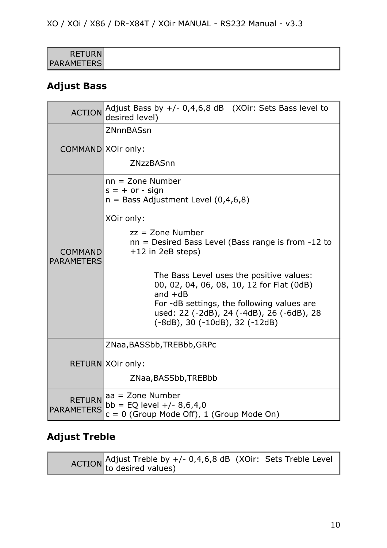| <b>RETURN</b>     |  |
|-------------------|--|
| <b>PARAMETERS</b> |  |

#### <span id="page-9-0"></span>**Adjust Bass**

| <b>ACTION</b>                       | Adjust Bass by $+/- 0,4,6,8$ dB (XOir: Sets Bass level to<br>desired level)                                                                                                                                                                                                                                                                                                                                                                      |
|-------------------------------------|--------------------------------------------------------------------------------------------------------------------------------------------------------------------------------------------------------------------------------------------------------------------------------------------------------------------------------------------------------------------------------------------------------------------------------------------------|
| COMMAND XOir only:                  | ZNnnBASsn<br>ZNzzBASnn                                                                                                                                                                                                                                                                                                                                                                                                                           |
| <b>COMMAND</b><br><b>PARAMETERS</b> | $nn = Zone Number$<br>$s = + or - sign$<br>$n =$ Bass Adjustment Level (0,4,6,8)<br>XOir only:<br>$zz =$ Zone Number<br>$nn =$ Desired Bass Level (Bass range is from $-12$ to<br>$+12$ in 2eB steps)<br>The Bass Level uses the positive values:<br>00, 02, 04, 06, 08, 10, 12 for Flat (0dB)<br>and $+dB$<br>For -dB settings, the following values are<br>used: 22 (-2dB), 24 (-4dB), 26 (-6dB), 28<br>$(-8dB)$ , 30 $(-10dB)$ , 32 $(-12dB)$ |
|                                     | ZNaa, BASSbb, TREBbb, GRPc<br>RETURN XOir only:<br>ZNaa, BASSbb, TREBbb                                                                                                                                                                                                                                                                                                                                                                          |
| <b>RETURN</b><br><b>PARAMETERS</b>  | $aa = Zone Number$<br>bb = EQ level $+/- 8,6,4,0$<br>$c = 0$ (Group Mode Off), 1 (Group Mode On)                                                                                                                                                                                                                                                                                                                                                 |

#### <span id="page-9-1"></span>**Adjust Treble**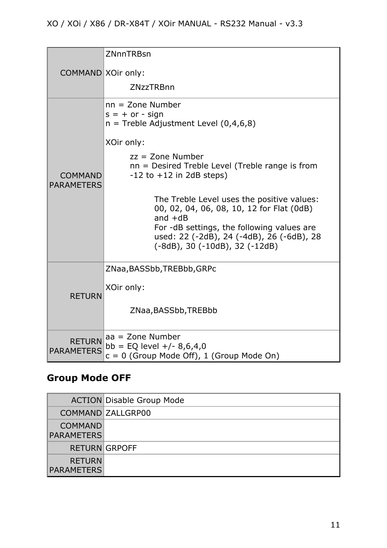| COMMAND XOir only:                  | ZNnnTRBsn                                                                                                                                                                                                                                 |
|-------------------------------------|-------------------------------------------------------------------------------------------------------------------------------------------------------------------------------------------------------------------------------------------|
|                                     |                                                                                                                                                                                                                                           |
|                                     | <b>ZNzzTRBnn</b>                                                                                                                                                                                                                          |
| <b>COMMAND</b><br><b>PARAMETERS</b> | $nn = Zone Number$<br>$s = + or - sign$<br>$n =$ Treble Adjustment Level (0,4,6,8)                                                                                                                                                        |
|                                     | XOir only:                                                                                                                                                                                                                                |
|                                     | $zz =$ Zone Number<br>nn = Desired Treble Level (Treble range is from<br>$-12$ to $+12$ in 2dB steps)                                                                                                                                     |
|                                     | The Treble Level uses the positive values:<br>00, 02, 04, 06, 08, 10, 12 for Flat (0dB)<br>and $+dB$<br>For -dB settings, the following values are<br>used: 22 (-2dB), 24 (-4dB), 26 (-6dB), 28<br>$(-8dB)$ , 30 $(-10dB)$ , 32 $(-12dB)$ |
| <b>RETURN</b>                       | ZNaa, BASSbb, TREBbb, GRPc                                                                                                                                                                                                                |
|                                     | XOir only:                                                                                                                                                                                                                                |
|                                     | ZNaa, BASSbb, TREBbb                                                                                                                                                                                                                      |
| <b>RETURN</b><br><b>PARAMETERS</b>  | $aa = Zone$ Number<br>bb = EQ level $+/- 8,6,4,0$<br>$c = 0$ (Group Mode Off), 1 (Group Mode On)                                                                                                                                          |

# <span id="page-10-0"></span>**Group Mode OFF**

|                                     | <b>ACTION Disable Group Mode</b> |
|-------------------------------------|----------------------------------|
|                                     | COMMAND ZALLGRP00                |
| <b>COMMAND</b><br><b>PARAMETERS</b> |                                  |
|                                     | <b>RETURN GRPOFF</b>             |
| <b>RETURN</b><br><b>PARAMETERS</b>  |                                  |